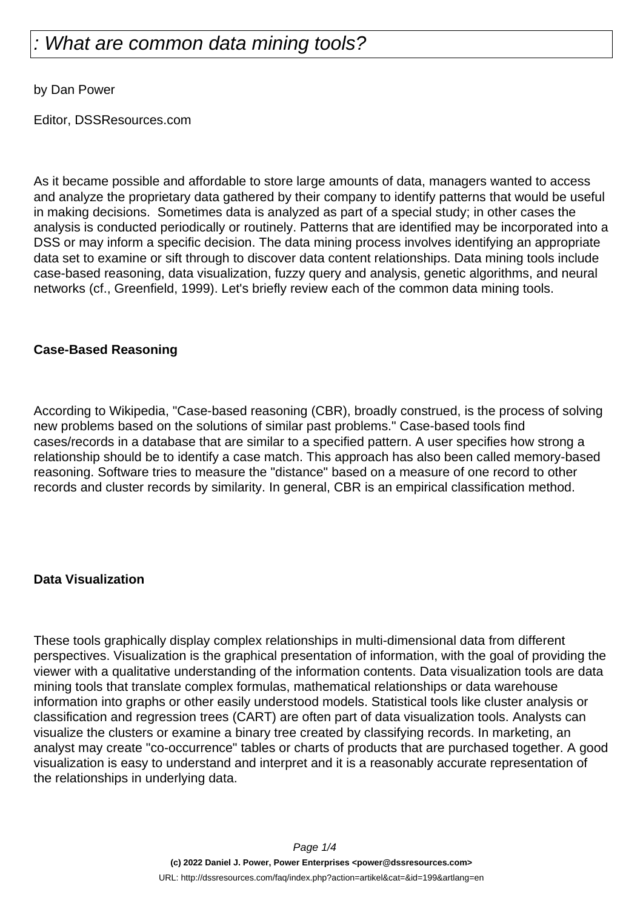# What are common data mining tools?

by Dan Power

Editor, DSSResources.com

As it became possible and affordable to store large amounts of data, managers wanted to access and analyze the proprietary data gathered by their company to identify patterns that would be useful in making decisions. Sometimes data is analyzed as part of a special study; in other cases the analysis is conducted periodically or routinely. Patterns that are identified may be incorporated into a DSS or may inform a specific decision. The data mining process involves identifying an appropriate data set to examine or sift through to discover data content relationships. Data mining tools include case-based reasoning, data visualization, fuzzy query and analysis, genetic algorithms, and neural networks (cf., Greenfield, 1999). Let's briefly review each of the common data mining tools.

## **Case-Based Reasoning**

According to Wikipedia, "Case-based reasoning (CBR), broadly construed, is the process of solving new problems based on the solutions of similar past problems." Case-based tools find cases/records in a database that are similar to a specified pattern. A user specifies how strong a relationship should be to identify a case match. This approach has also been called memory-based reasoning. Software tries to measure the "distance" based on a measure of one record to other records and cluster records by similarity. In general, CBR is an empirical classification method.

#### **Data Visualization**

These tools graphically display complex relationships in multi-dimensional data from different perspectives. Visualization is the graphical presentation of information, with the goal of providing the viewer with a qualitative understanding of the information contents. Data visualization tools are data mining tools that translate complex formulas, mathematical relationships or data warehouse information into graphs or other easily understood models. Statistical tools like cluster analysis or classification and regression trees (CART) are often part of data visualization tools. Analysts can visualize the clusters or examine a binary tree created by classifying records. In marketing, an analyst may create "co-occurrence" tables or charts of products that are purchased together. A good visualization is easy to understand and interpret and it is a reasonably accurate representation of the relationships in underlying data.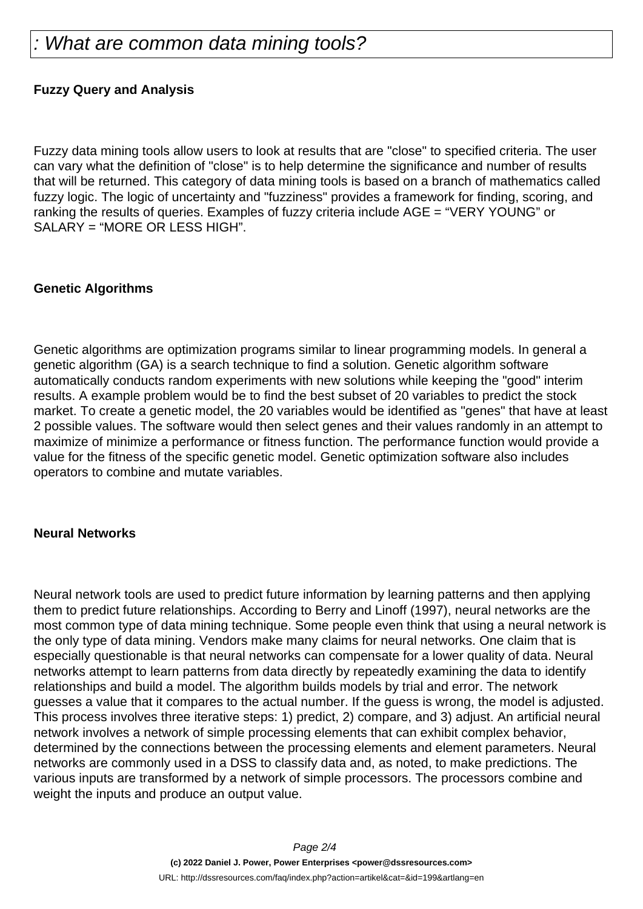## **Fuzzy Query and Analysis**

Fuzzy data mining tools allow users to look at results that are "close" to specified criteria. The user can vary what the definition of "close" is to help determine the significance and number of results that will be returned. This category of data mining tools is based on a branch of mathematics called fuzzy logic. The logic of uncertainty and "fuzziness" provides a framework for finding, scoring, and ranking the results of queries. Examples of fuzzy criteria include AGE = "VERY YOUNG" or SALARY = "MORE OR LESS HIGH".

#### **Genetic Algorithms**

Genetic algorithms are optimization programs similar to linear programming models. In general a genetic algorithm (GA) is a search technique to find a solution. Genetic algorithm software automatically conducts random experiments with new solutions while keeping the "good" interim results. A example problem would be to find the best subset of 20 variables to predict the stock market. To create a genetic model, the 20 variables would be identified as "genes" that have at least 2 possible values. The software would then select genes and their values randomly in an attempt to maximize of minimize a performance or fitness function. The performance function would provide a value for the fitness of the specific genetic model. Genetic optimization software also includes operators to combine and mutate variables.

#### **Neural Networks**

Neural network tools are used to predict future information by learning patterns and then applying them to predict future relationships. According to Berry and Linoff (1997), neural networks are the most common type of data mining technique. Some people even think that using a neural network is the only type of data mining. Vendors make many claims for neural networks. One claim that is especially questionable is that neural networks can compensate for a lower quality of data. Neural networks attempt to learn patterns from data directly by repeatedly examining the data to identify relationships and build a model. The algorithm builds models by trial and error. The network guesses a value that it compares to the actual number. If the guess is wrong, the model is adjusted. This process involves three iterative steps: 1) predict, 2) compare, and 3) adjust. An artificial neural network involves a network of simple processing elements that can exhibit complex behavior, determined by the connections between the processing elements and element parameters. Neural networks are commonly used in a DSS to classify data and, as noted, to make predictions. The various inputs are transformed by a network of simple processors. The processors combine and weight the inputs and produce an output value.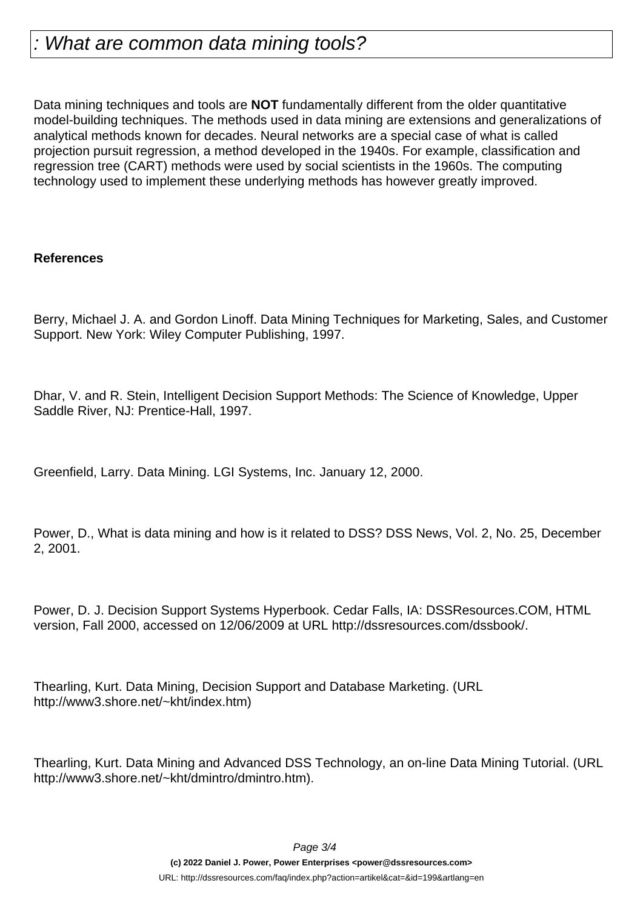Data mining techniques and tools are **NOT** fundamentally different from the older quantitative model-building techniques. The methods used in data mining are extensions and generalizations of analytical methods known for decades. Neural networks are a special case of what is called projection pursuit regression, a method developed in the 1940s. For example, classification and regression tree (CART) methods were used by social scientists in the 1960s. The computing technology used to implement these underlying methods has however greatly improved.

#### **References**

Berry, Michael J. A. and Gordon Linoff. Data Mining Techniques for Marketing, Sales, and Customer Support. New York: Wiley Computer Publishing, 1997.

Dhar, V. and R. Stein, Intelligent Decision Support Methods: The Science of Knowledge, Upper Saddle River, NJ: Prentice-Hall, 1997.

Greenfield, Larry. Data Mining. LGI Systems, Inc. January 12, 2000.

Power, D., What is data mining and how is it related to DSS? DSS News, Vol. 2, No. 25, December 2, 2001.

Power, D. J. Decision Support Systems Hyperbook. Cedar Falls, IA: DSSResources.COM, HTML version, Fall 2000, accessed on 12/06/2009 at URL http://dssresources.com/dssbook/.

Thearling, Kurt. Data Mining, Decision Support and Database Marketing. (URL http://www3.shore.net/~kht/index.htm)

Thearling, Kurt. Data Mining and Advanced DSS Technology, an on-line Data Mining Tutorial. (URL http://www3.shore.net/~kht/dmintro/dmintro.htm).